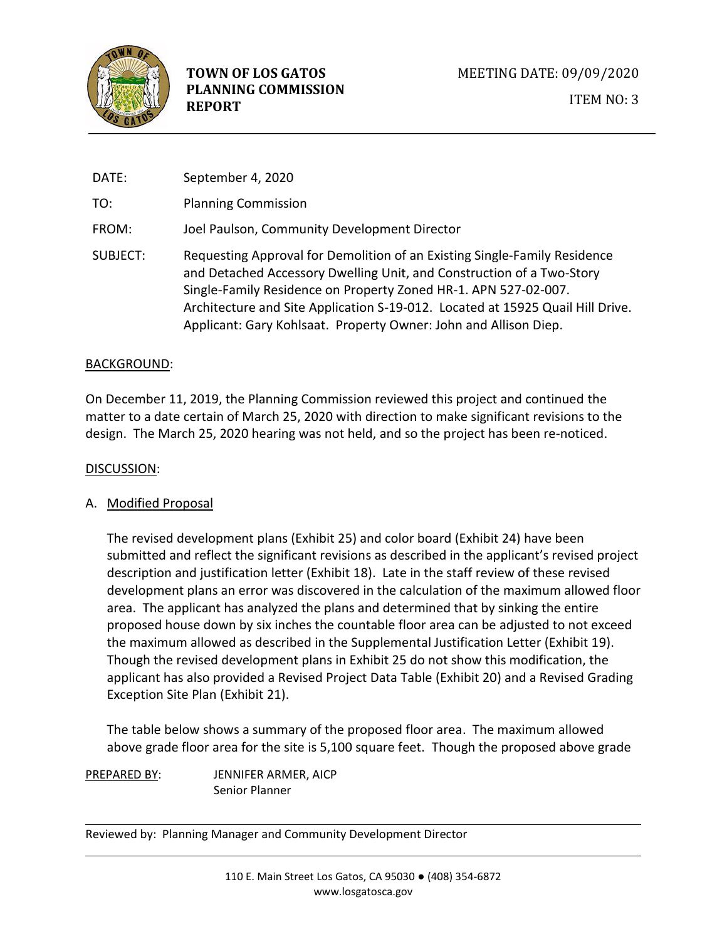

DATE: September 4, 2020 TO: Planning Commission FROM: Joel Paulson, Community Development Director SUBJECT: Requesting Approval for Demolition of an Existing Single-Family Residence and Detached Accessory Dwelling Unit, and Construction of a Two-Story Single-Family Residence on Property Zoned HR-1. APN 527-02-007. Architecture and Site Application S-19-012. Located at 15925 Quail Hill Drive. Applicant: Gary Kohlsaat. Property Owner: John and Allison Diep.

#### BACKGROUND:

On December 11, 2019, the Planning Commission reviewed this project and continued the matter to a date certain of March 25, 2020 with direction to make significant revisions to the design. The March 25, 2020 hearing was not held, and so the project has been re-noticed.

#### DISCUSSION:

#### A. Modified Proposal

The revised development plans (Exhibit 25) and color board (Exhibit 24) have been submitted and reflect the significant revisions as described in the applicant's revised project description and justification letter (Exhibit 18). Late in the staff review of these revised development plans an error was discovered in the calculation of the maximum allowed floor area. The applicant has analyzed the plans and determined that by sinking the entire proposed house down by six inches the countable floor area can be adjusted to not exceed the maximum allowed as described in the Supplemental Justification Letter (Exhibit 19). Though the revised development plans in Exhibit 25 do not show this modification, the applicant has also provided a Revised Project Data Table (Exhibit 20) and a Revised Grading Exception Site Plan (Exhibit 21).

The table below shows a summary of the proposed floor area. The maximum allowed above grade floor area for the site is 5,100 square feet. Though the proposed above grade

PREPARED BY: JENNIFER ARMER, AICP Senior Planner

Reviewed by: Planning Manager and Community Development Director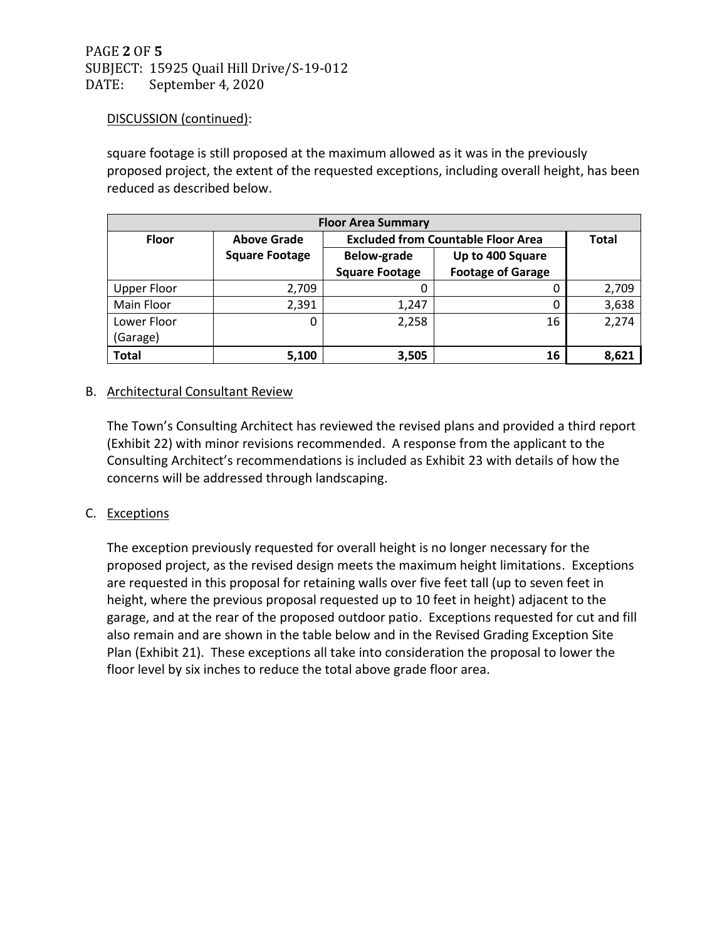# PAGE **2** OF **5** SUBJECT: 15925 Quail Hill Drive/S-19-012 DATE: September 4, 2020

# DISCUSSION (continued):

square footage is still proposed at the maximum allowed as it was in the previously proposed project, the extent of the requested exceptions, including overall height, has been reduced as described below.

| <b>Floor Area Summary</b> |                       |                                           |                          |       |  |  |  |  |  |  |
|---------------------------|-----------------------|-------------------------------------------|--------------------------|-------|--|--|--|--|--|--|
| <b>Floor</b>              | <b>Above Grade</b>    | <b>Excluded from Countable Floor Area</b> | <b>Total</b>             |       |  |  |  |  |  |  |
|                           | <b>Square Footage</b> | <b>Below-grade</b>                        | Up to 400 Square         |       |  |  |  |  |  |  |
|                           |                       | <b>Square Footage</b>                     | <b>Footage of Garage</b> |       |  |  |  |  |  |  |
| <b>Upper Floor</b>        | 2,709                 | 0                                         | 0                        | 2,709 |  |  |  |  |  |  |
| Main Floor                | 2,391                 | 1,247                                     | 0                        | 3,638 |  |  |  |  |  |  |
| Lower Floor               | 0                     | 2,258                                     | 16                       | 2,274 |  |  |  |  |  |  |
| (Garage)                  |                       |                                           |                          |       |  |  |  |  |  |  |
| <b>Total</b>              | 5,100                 | 3,505                                     | 16                       | 8,621 |  |  |  |  |  |  |

# B. Architectural Consultant Review

The Town's Consulting Architect has reviewed the revised plans and provided a third report (Exhibit 22) with minor revisions recommended. A response from the applicant to the Consulting Architect's recommendations is included as Exhibit 23 with details of how the concerns will be addressed through landscaping.

# C. Exceptions

The exception previously requested for overall height is no longer necessary for the proposed project, as the revised design meets the maximum height limitations. Exceptions are requested in this proposal for retaining walls over five feet tall (up to seven feet in height, where the previous proposal requested up to 10 feet in height) adjacent to the garage, and at the rear of the proposed outdoor patio. Exceptions requested for cut and fill also remain and are shown in the table below and in the Revised Grading Exception Site Plan (Exhibit 21). These exceptions all take into consideration the proposal to lower the floor level by six inches to reduce the total above grade floor area.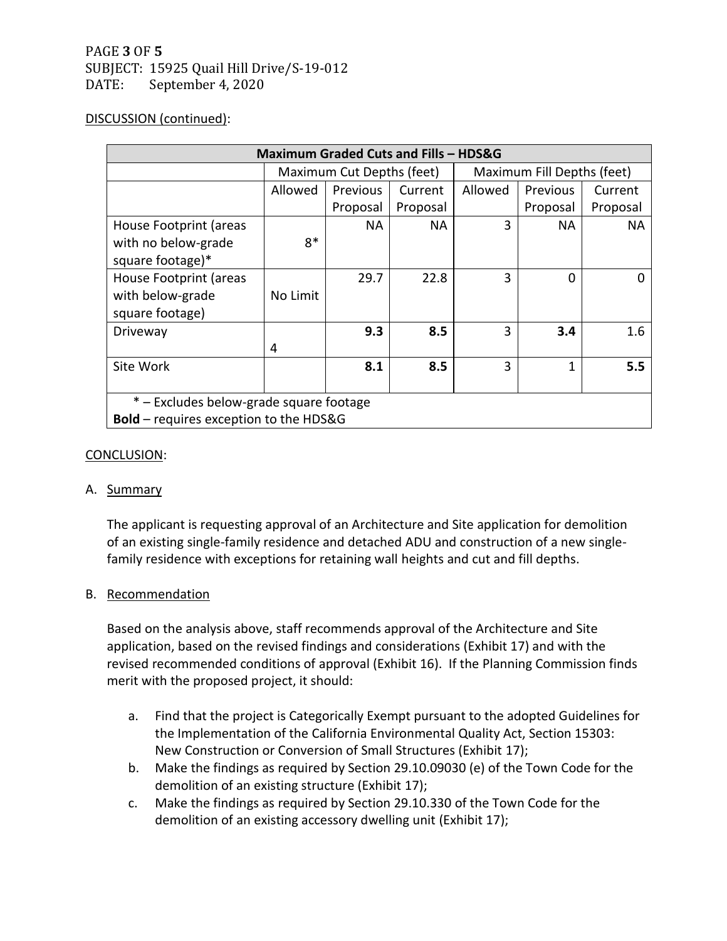# PAGE **3** OF **5** SUBJECT: 15925 Quail Hill Drive/S-19-012 DATE: September 4, 2020

### DISCUSSION (continued):

| Maximum Graded Cuts and Fills - HDS&G         |                           |           |          |                            |           |           |  |  |  |
|-----------------------------------------------|---------------------------|-----------|----------|----------------------------|-----------|-----------|--|--|--|
|                                               | Maximum Cut Depths (feet) |           |          | Maximum Fill Depths (feet) |           |           |  |  |  |
|                                               | Allowed                   | Previous  | Current  | Allowed                    | Previous  | Current   |  |  |  |
|                                               |                           | Proposal  | Proposal |                            | Proposal  | Proposal  |  |  |  |
| House Footprint (areas                        |                           | <b>NA</b> | NA       | 3                          | <b>NA</b> | <b>NA</b> |  |  |  |
| with no below-grade                           | $8*$                      |           |          |                            |           |           |  |  |  |
| square footage)*                              |                           |           |          |                            |           |           |  |  |  |
| House Footprint (areas                        |                           | 29.7      | 22.8     | 3                          | $\Omega$  | ŋ         |  |  |  |
| with below-grade                              | No Limit                  |           |          |                            |           |           |  |  |  |
| square footage)                               |                           |           |          |                            |           |           |  |  |  |
| Driveway                                      |                           | 9.3       | 8.5      | 3                          | 3.4       | 1.6       |  |  |  |
|                                               | 4                         |           |          |                            |           |           |  |  |  |
| Site Work                                     |                           | 8.1       | 8.5      | 3                          | 1         | 5.5       |  |  |  |
|                                               |                           |           |          |                            |           |           |  |  |  |
| * – Excludes below-grade square footage       |                           |           |          |                            |           |           |  |  |  |
| <b>Bold</b> – requires exception to the HDS&G |                           |           |          |                            |           |           |  |  |  |

### CONCLUSION:

#### A. Summary

The applicant is requesting approval of an Architecture and Site application for demolition of an existing single-family residence and detached ADU and construction of a new singlefamily residence with exceptions for retaining wall heights and cut and fill depths.

# B. Recommendation

Based on the analysis above, staff recommends approval of the Architecture and Site application, based on the revised findings and considerations (Exhibit 17) and with the revised recommended conditions of approval (Exhibit 16). If the Planning Commission finds merit with the proposed project, it should:

- a. Find that the project is Categorically Exempt pursuant to the adopted Guidelines for the Implementation of the California Environmental Quality Act, Section 15303: New Construction or Conversion of Small Structures (Exhibit 17);
- b. Make the findings as required by Section 29.10.09030 (e) of the Town Code for the demolition of an existing structure (Exhibit 17);
- c. Make the findings as required by Section 29.10.330 of the Town Code for the demolition of an existing accessory dwelling unit (Exhibit 17);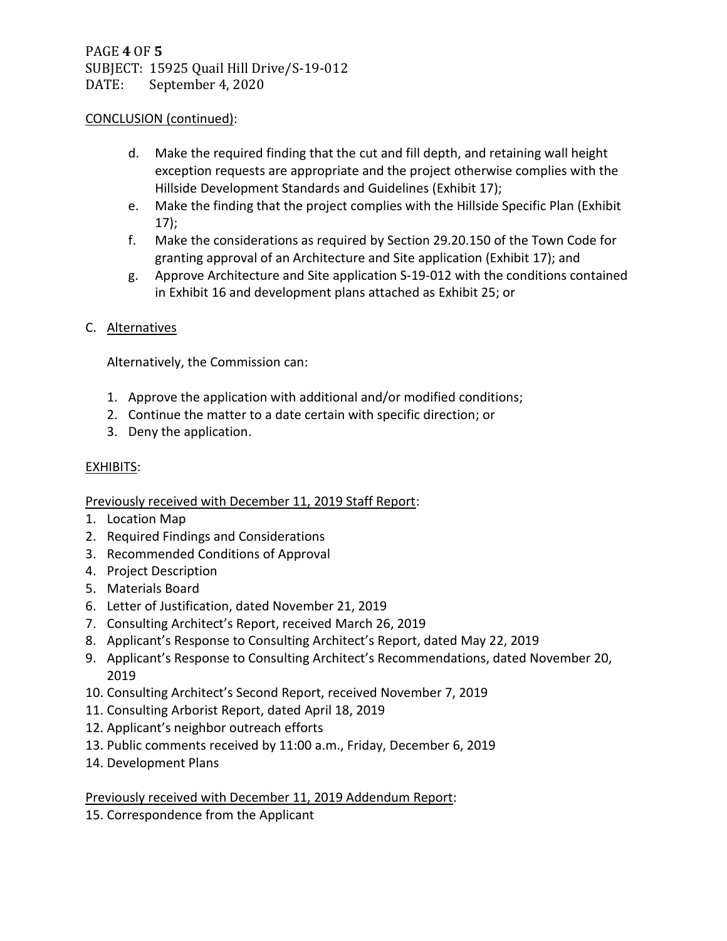## CONCLUSION (continued):

- d. Make the required finding that the cut and fill depth, and retaining wall height exception requests are appropriate and the project otherwise complies with the Hillside Development Standards and Guidelines (Exhibit 17);
- e. Make the finding that the project complies with the Hillside Specific Plan (Exhibit 17);
- f. Make the considerations as required by Section 29.20.150 of the Town Code for granting approval of an Architecture and Site application (Exhibit 17); and
- g. Approve Architecture and Site application S-19-012 with the conditions contained in Exhibit 16 and development plans attached as Exhibit 25; or

# C. Alternatives

Alternatively, the Commission can:

- 1. Approve the application with additional and/or modified conditions;
- 2. Continue the matter to a date certain with specific direction; or
- 3. Deny the application.

## EXHIBITS:

Previously received with December 11, 2019 Staff Report:

- 1. Location Map
- 2. Required Findings and Considerations
- 3. Recommended Conditions of Approval
- 4. Project Description
- 5. Materials Board
- 6. Letter of Justification, dated November 21, 2019
- 7. Consulting Architect's Report, received March 26, 2019
- 8. Applicant's Response to Consulting Architect's Report, dated May 22, 2019
- 9. Applicant's Response to Consulting Architect's Recommendations, dated November 20, 2019
- 10. Consulting Architect's Second Report, received November 7, 2019
- 11. Consulting Arborist Report, dated April 18, 2019
- 12. Applicant's neighbor outreach efforts
- 13. Public comments received by 11:00 a.m., Friday, December 6, 2019
- 14. Development Plans

# Previously received with December 11, 2019 Addendum Report:

15. Correspondence from the Applicant